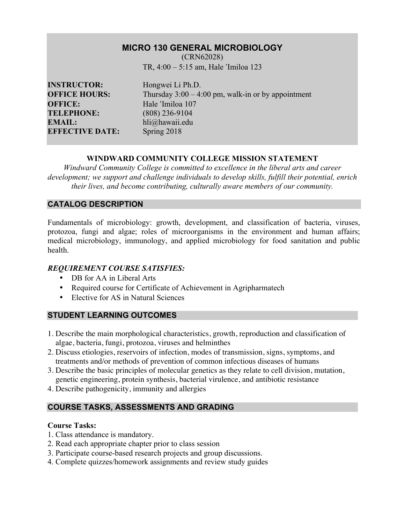## **MICRO 130 GENERAL MICROBIOLOGY**

(CRN62028) TR, 4:00 – 5:15 am, Hale ʹImiloa 123

**INSTRUCTOR:** Hongwei Li Ph.D. **OFFICE:** Hale <sup>'Imiloa</sup> 107<br> **TELEPHONE:** (808) 236-9104 **EMAIL:** hli@hawaii.edu **EFFECTIVE DATE:** Spring 2018

**OFFICE HOURS:** Thursday 3:00 – 4:00 pm, walk-in or by appointment **TELEPHONE:** (808) 236-9104

### **WINDWARD COMMUNITY COLLEGE MISSION STATEMENT**

*Windward Community College is committed to excellence in the liberal arts and career development; we support and challenge individuals to develop skills, fulfill their potential, enrich their lives, and become contributing, culturally aware members of our community.*

### **CATALOG DESCRIPTION**

Fundamentals of microbiology: growth, development, and classification of bacteria, viruses, protozoa, fungi and algae; roles of microorganisms in the environment and human affairs; medical microbiology, immunology, and applied microbiology for food sanitation and public health.

#### *REQUIREMENT COURSE SATISFIES:*

- DB for AA in Liberal Arts
- Required course for Certificate of Achievement in Agripharmatech
- Elective for AS in Natural Sciences

### **STUDENT LEARNING OUTCOMES**

- 1. Describe the main morphological characteristics, growth, reproduction and classification of algae, bacteria, fungi, protozoa, viruses and helminthes
- 2. Discuss etiologies, reservoirs of infection, modes of transmission, signs, symptoms, and treatments and/or methods of prevention of common infectious diseases of humans
- 3. Describe the basic principles of molecular genetics as they relate to cell division, mutation, genetic engineering, protein synthesis, bacterial virulence, and antibiotic resistance
- 4. Describe pathogenicity, immunity and allergies

# **COURSE TASKS, ASSESSMENTS AND GRADING**

### **Course Tasks:**

- 1. Class attendance is mandatory.
- 2. Read each appropriate chapter prior to class session
- 3. Participate course-based research projects and group discussions.
- 4. Complete quizzes/homework assignments and review study guides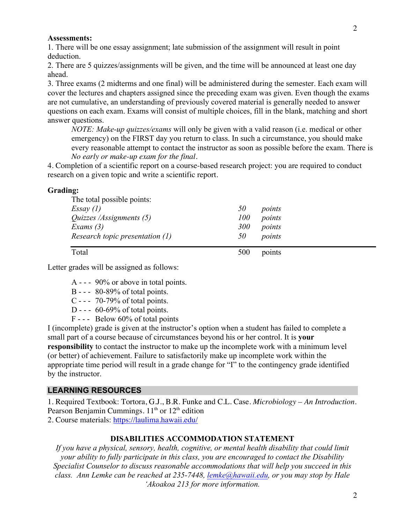#### **Assessments:**

1. There will be one essay assignment; late submission of the assignment will result in point deduction.

2. There are 5 quizzes/assignments will be given, and the time will be announced at least one day ahead.

3. Three exams (2 midterms and one final) will be administered during the semester. Each exam will cover the lectures and chapters assigned since the preceding exam was given. Even though the exams are not cumulative, an understanding of previously covered material is generally needed to answer questions on each exam. Exams will consist of multiple choices, fill in the blank, matching and short answer questions.

*NOTE: Make-up quizzes/exams* will only be given with a valid reason (i.e. medical or other emergency) on the FIRST day you return to class. In such a circumstance, you should make every reasonable attempt to contact the instructor as soon as possible before the exam. There is *No early or make-up exam for the final.*

4. Completion of a scientific report on a course-based research project: you are required to conduct research on a given topic and write a scientific report.

#### **Grading:**

| The total possible points:        |     |        |  |
|-----------------------------------|-----|--------|--|
| Essay(1)                          | 50  | points |  |
| Quizzes /Assignments (5)          | 100 | points |  |
| Exams $(3)$                       | 300 | points |  |
| Research topic presentation $(1)$ | 50  | points |  |
| Total                             | 500 | points |  |

Letter grades will be assigned as follows:

- A - 90% or above in total points.
- B - 80-89% of total points.
- C - 70-79% of total points.
- D -  $60-69\%$  of total points.
- F - Below 60% of total points

I (incomplete) grade is given at the instructor's option when a student has failed to complete a small part of a course because of circumstances beyond his or her control. It is **your responsibility** to contact the instructor to make up the incomplete work with a minimum level (or better) of achievement. Failure to satisfactorily make up incomplete work within the appropriate time period will result in a grade change for "I" to the contingency grade identified by the instructor.

#### **LEARNING RESOURCES**

1. Required Textbook: Tortora, G.J., B.R. Funke and C.L. Case. *Microbiology – An Introduction*. Pearson Benjamin Cummings.  $11<sup>th</sup>$  or  $12<sup>th</sup>$  edition

2. Course materials: https://laulima.hawaii.edu/

#### **DISABILITIES ACCOMMODATION STATEMENT**

*If you have a physical, sensory, health, cognitive, or mental health disability that could limit your ability to fully participate in this class, you are encouraged to contact the Disability Specialist Counselor to discuss reasonable accommodations that will help you succeed in this class. Ann Lemke can be reached at 235-7448, lemke@hawaii.edu, or you may stop by Hale 'Akoakoa 213 for more information.*